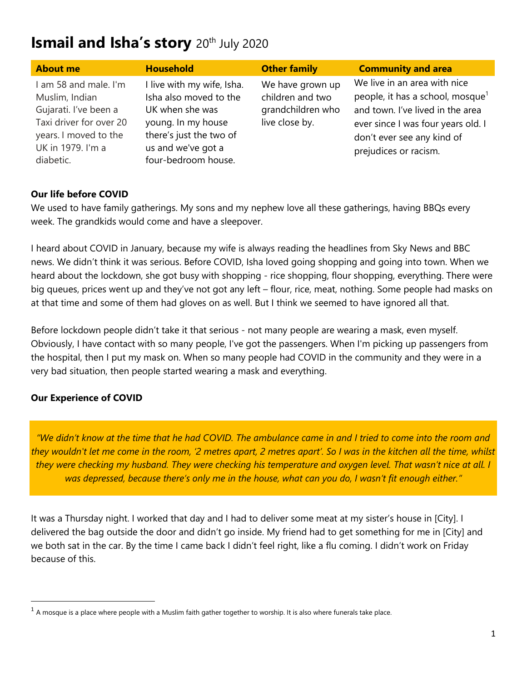# **Ismail and Isha's story** 20th July 2020

| <b>About me</b>                                                                                                                                        | <b>Household</b>                                                                                                                                                      | <b>Other family</b>                                                         | <b>Community and area</b>                                                                                                                                                                                     |
|--------------------------------------------------------------------------------------------------------------------------------------------------------|-----------------------------------------------------------------------------------------------------------------------------------------------------------------------|-----------------------------------------------------------------------------|---------------------------------------------------------------------------------------------------------------------------------------------------------------------------------------------------------------|
| I am 58 and male. I'm<br>Muslim, Indian<br>Gujarati. I've been a<br>Taxi driver for over 20<br>years. I moved to the<br>UK in 1979. I'm a<br>diabetic. | I live with my wife, Isha.<br>Isha also moved to the<br>UK when she was<br>young. In my house<br>there's just the two of<br>us and we've got a<br>four-bedroom house. | We have grown up<br>children and two<br>grandchildren who<br>live close by. | We live in an area with nice<br>people, it has a school, mosque <sup>1</sup><br>and town. I've lived in the area<br>ever since I was four years old. I<br>don't ever see any kind of<br>prejudices or racism. |

## **Our life before COVID**

We used to have family gatherings. My sons and my nephew love all these gatherings, having BBQs every week. The grandkids would come and have a sleepover.

I heard about COVID in January, because my wife is always reading the headlines from Sky News and BBC news. We didn't think it was serious. Before COVID, Isha loved going shopping and going into town. When we heard about the lockdown, she got busy with shopping - rice shopping, flour shopping, everything. There were big queues, prices went up and they've not got any left – flour, rice, meat, nothing. Some people had masks on at that time and some of them had gloves on as well. But I think we seemed to have ignored all that.

Before lockdown people didn't take it that serious - not many people are wearing a mask, even myself. Obviously, I have contact with so many people, I've got the passengers. When I'm picking up passengers from the hospital, then I put my mask on. When so many people had COVID in the community and they were in a very bad situation, then people started wearing a mask and everything.

## **Our Experience of COVID**

*"We didn't know at the time that he had COVID. The ambulance came in and I tried to come into the room and they wouldn't let me come in the room, '2 metres apart, 2 metres apart'. So I was in the kitchen all the time, whilst they were checking my husband. They were checking his temperature and oxygen level. That wasn't nice at all. I was depressed, because there's only me in the house, what can you do, I wasn't fit enough either."*

It was a Thursday night. I worked that day and I had to deliver some meat at my sister's house in [City]. I delivered the bag outside the door and didn't go inside. My friend had to get something for me in [City] and we both sat in the car. By the time I came back I didn't feel right, like a flu coming. I didn't work on Friday because of this.

 $^{\rm 1}$  A mosque is a place where people with a Muslim faith gather together to worship. It is also where funerals take place.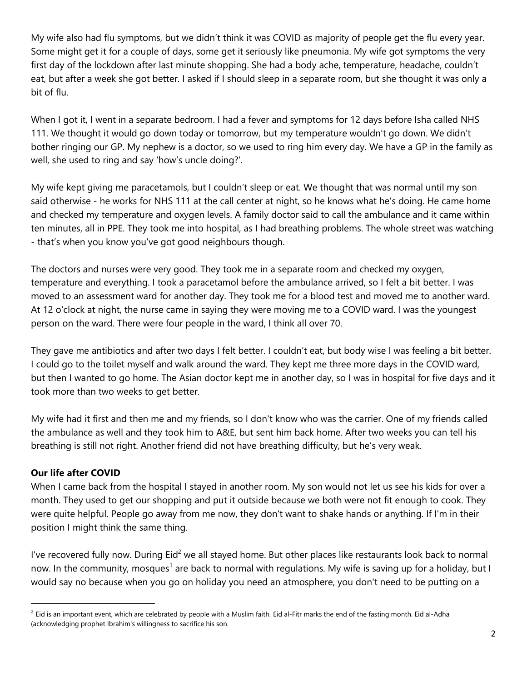My wife also had flu symptoms, but we didn't think it was COVID as majority of people get the flu every year. Some might get it for a couple of days, some get it seriously like pneumonia. My wife got symptoms the very first day of the lockdown after last minute shopping. She had a body ache, temperature, headache, couldn't eat, but after a week she got better. I asked if I should sleep in a separate room, but she thought it was only a bit of flu.

When I got it, I went in a separate bedroom. I had a fever and symptoms for 12 days before Isha called NHS 111. We thought it would go down today or tomorrow, but my temperature wouldn't go down. We didn't bother ringing our GP. My nephew is a doctor, so we used to ring him every day. We have a GP in the family as well, she used to ring and say 'how's uncle doing?'.

My wife kept giving me paracetamols, but I couldn't sleep or eat. We thought that was normal until my son said otherwise - he works for NHS 111 at the call center at night, so he knows what he's doing. He came home and checked my temperature and oxygen levels. A family doctor said to call the ambulance and it came within ten minutes, all in PPE. They took me into hospital, as I had breathing problems. The whole street was watching - that's when you know you've got good neighbours though.

The doctors and nurses were very good. They took me in a separate room and checked my oxygen, temperature and everything. I took a paracetamol before the ambulance arrived, so I felt a bit better. I was moved to an assessment ward for another day. They took me for a blood test and moved me to another ward. At 12 o'clock at night, the nurse came in saying they were moving me to a COVID ward. I was the youngest person on the ward. There were four people in the ward, I think all over 70.

They gave me antibiotics and after two days I felt better. I couldn't eat, but body wise I was feeling a bit better. I could go to the toilet myself and walk around the ward. They kept me three more days in the COVID ward, but then I wanted to go home. The Asian doctor kept me in another day, so I was in hospital for five days and it took more than two weeks to get better.

My wife had it first and then me and my friends, so I don't know who was the carrier. One of my friends called the ambulance as well and they took him to A&E, but sent him back home. After two weeks you can tell his breathing is still not right. Another friend did not have breathing difficulty, but he's very weak.

## **Our life after COVID**

When I came back from the hospital I stayed in another room. My son would not let us see his kids for over a month. They used to get our shopping and put it outside because we both were not fit enough to cook. They were quite helpful. People go away from me now, they don't want to shake hands or anything. If I'm in their position I might think the same thing.

I've recovered fully now. During Eid<sup>2</sup> we all stayed home. But other places like restaurants look back to normal now. In the community, mosques<sup>1</sup> are back to normal with regulations. My wife is saving up for a holiday, but I would say no because when you go on holiday you need an atmosphere, you don't need to be putting on a

 $^2$  Eid is an important event, which are celebrated by people with a Muslim faith. Eid al-Fitr marks the end of the fasting month. Eid al-Adha (acknowledging prophet Ibrahim's willingness to sacrifice his son.